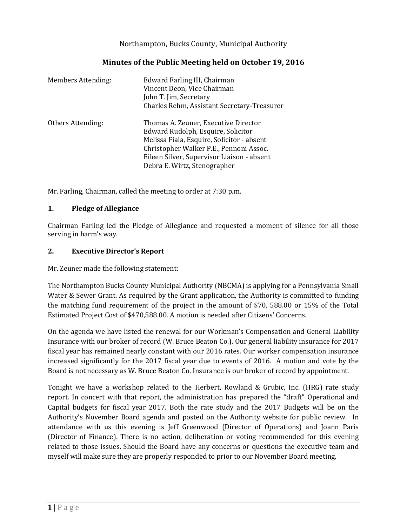## Northampton, Bucks County, Municipal Authority

| <b>Members Attending:</b> | Edward Farling III, Chairman<br>Vincent Deon, Vice Chairman<br>John T. Jim, Secretary<br>Charles Rehm, Assistant Secretary-Treasurer                                                                                                              |
|---------------------------|---------------------------------------------------------------------------------------------------------------------------------------------------------------------------------------------------------------------------------------------------|
| Others Attending:         | Thomas A. Zeuner, Executive Director<br>Edward Rudolph, Esquire, Solicitor<br>Melissa Fiala, Esquire, Solicitor - absent<br>Christopher Walker P.E., Pennoni Assoc.<br>Eileen Silver, Supervisor Liaison - absent<br>Debra E. Wirtz, Stenographer |

Mr. Farling, Chairman, called the meeting to order at 7:30 p.m.

## **1. Pledge of Allegiance**

Chairman Farling led the Pledge of Allegiance and requested a moment of silence for all those serving in harm's way.

#### **2. Executive Director's Report**

Mr. Zeuner made the following statement:

The Northampton Bucks County Municipal Authority (NBCMA) is applying for a Pennsylvania Small Water & Sewer Grant. As required by the Grant application, the Authority is committed to funding the matching fund requirement of the project in the amount of \$70, 588.00 or 15% of the Total Estimated Project Cost of \$470,588.00. A motion is needed after Citizens' Concerns.

On the agenda we have listed the renewal for our Workman's Compensation and General Liability Insurance with our broker of record (W. Bruce Beaton Co.). Our general liability insurance for 2017 fiscal year has remained nearly constant with our 2016 rates. Our worker compensation insurance increased significantly for the 2017 fiscal year due to events of 2016. A motion and vote by the Board is not necessary as W. Bruce Beaton Co. Insurance is our broker of record by appointment.

Tonight we have a workshop related to the Herbert, Rowland & Grubic, Inc. (HRG) rate study report. In concert with that report, the administration has prepared the "draft" Operational and Capital budgets for fiscal year 2017. Both the rate study and the 2017 Budgets will be on the Authority's November Board agenda and posted on the Authority website for public review. In attendance with us this evening is Jeff Greenwood (Director of Operations) and Joann Paris (Director of Finance). There is no action, deliberation or voting recommended for this evening related to those issues. Should the Board have any concerns or questions the executive team and myself will make sure they are properly responded to prior to our November Board meeting.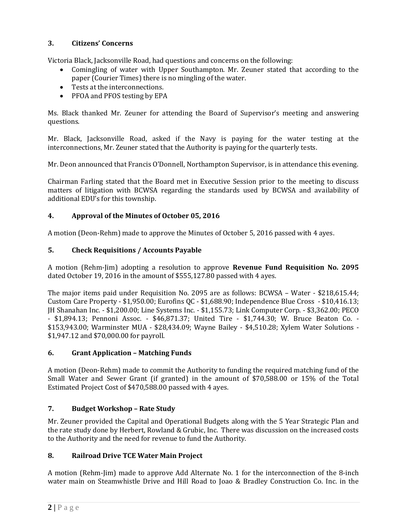# **3. Citizens' Concerns**

Victoria Black, Jacksonville Road, had questions and concerns on the following:

- Comingling of water with Upper Southampton. Mr. Zeuner stated that according to the paper (Courier Times) there is no mingling of the water.
- Tests at the interconnections.
- PFOA and PFOS testing by EPA

Ms. Black thanked Mr. Zeuner for attending the Board of Supervisor's meeting and answering questions.

Mr. Black, Jacksonville Road, asked if the Navy is paying for the water testing at the interconnections, Mr. Zeuner stated that the Authority is paying for the quarterly tests.

Mr. Deon announced that Francis O'Donnell, Northampton Supervisor, is in attendance this evening.

Chairman Farling stated that the Board met in Executive Session prior to the meeting to discuss matters of litigation with BCWSA regarding the standards used by BCWSA and availability of additional EDU's for this township.

## **4. Approval of the Minutes of October 05, 2016**

A motion (Deon-Rehm) made to approve the Minutes of October 5, 2016 passed with 4 ayes.

## **5. Check Requisitions / Accounts Payable**

A motion (Rehm-Jim) adopting a resolution to approve **Revenue Fund Requisition No. 2095** dated October 19, 2016 in the amount of \$555,127.80 passed with 4 ayes.

The major items paid under Requisition No. 2095 are as follows: BCWSA – Water - \$218,615.44; Custom Care Property - \$1,950.00; Eurofins QC - \$1,688.90; Independence Blue Cross - \$10,416.13; JH Shanahan Inc. - \$1,200.00; Line Systems Inc. - \$1,155.73; Link Computer Corp. - \$3,362.00; PECO - \$1,894.13; Pennoni Assoc. - \$46,871.37; United Tire - \$1,744.30; W. Bruce Beaton Co. - \$153,943.00; Warminster MUA - \$28,434.09; Wayne Bailey - \$4,510.28; Xylem Water Solutions - \$1,947.12 and \$70,000.00 for payroll.

## **6. Grant Application – Matching Funds**

A motion (Deon-Rehm) made to commit the Authority to funding the required matching fund of the Small Water and Sewer Grant (if granted) in the amount of \$70,588.00 or 15% of the Total Estimated Project Cost of \$470,588.00 passed with 4 ayes.

## **7. Budget Workshop – Rate Study**

Mr. Zeuner provided the Capital and Operational Budgets along with the 5 Year Strategic Plan and the rate study done by Herbert, Rowland & Grubic, Inc. There was discussion on the increased costs to the Authority and the need for revenue to fund the Authority.

## **8. Railroad Drive TCE Water Main Project**

A motion (Rehm-Jim) made to approve Add Alternate No. 1 for the interconnection of the 8-inch water main on Steamwhistle Drive and Hill Road to Joao & Bradley Construction Co. Inc. in the